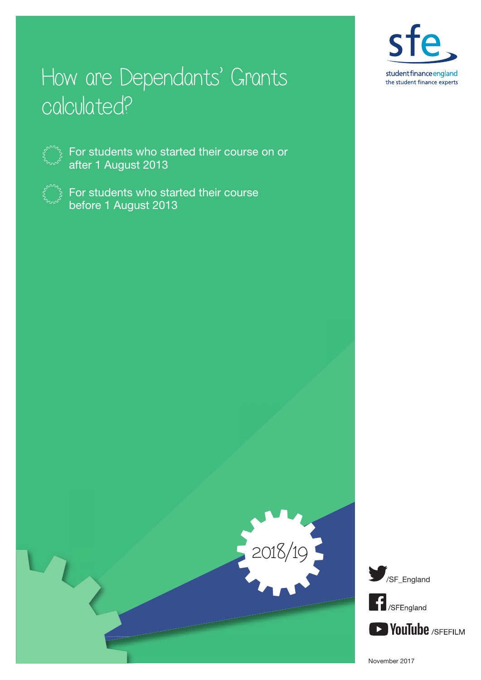

# How are Dependants' Grants calculated?



For students who started their course on or after 1 August 2013



For students who started their course before 1 August 2013





November 2017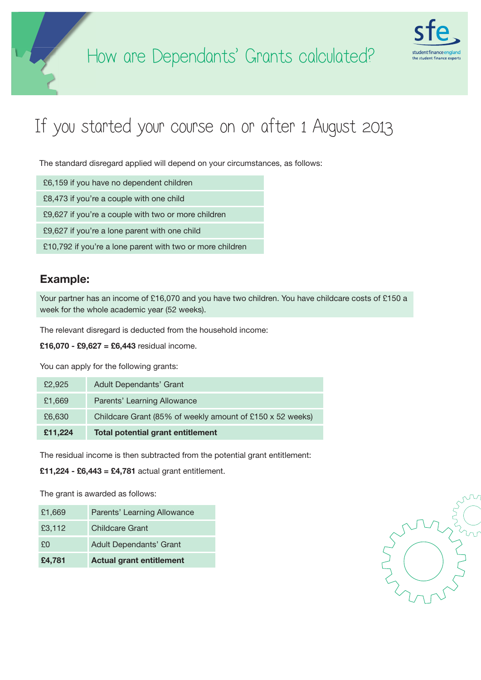

## If you started your course on or after 1 August 2013

The standard disregard applied will depend on your circumstances, as follows:

£6,159 if you have no dependent children

£8,473 if you're a couple with one child

£9,627 if you're a couple with two or more children

£9,627 if you're a lone parent with one child

£10,792 if you're a lone parent with two or more children

### Example:

Your partner has an income of £16,070 and you have two children. You have childcare costs of £150 a week for the whole academic year (52 weeks).

The relevant disregard is deducted from the household income:

£16,070 - £9,627 = £6,443 residual income.

You can apply for the following grants:

| £2,925  | Adult Dependants' Grant                                   |
|---------|-----------------------------------------------------------|
| £1,669  | Parents' Learning Allowance                               |
| £6,630  | Childcare Grant (85% of weekly amount of £150 x 52 weeks) |
| £11,224 | <b>Total potential grant entitlement</b>                  |

The residual income is then subtracted from the potential grant entitlement:

£11,224 - £6,443 = £4,781 actual grant entitlement.

The grant is awarded as follows:

| £1,669 | Parents' Learning Allowance     |
|--------|---------------------------------|
| £3,112 | <b>Childcare Grant</b>          |
| £Ū     | <b>Adult Dependants' Grant</b>  |
| £4,781 | <b>Actual grant entitlement</b> |